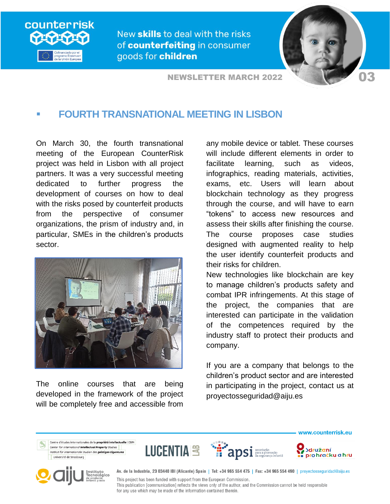

New skills to deal with the risks of counterfeiting in consumer goods for children

**NEWSLETTER MARCH 2022** 



## **FOURTH TRANSNATIONAL MEETING IN LISBON**

On March 30, the fourth transnational meeting of the European CounterRisk project was held in Lisbon with all project partners. It was a very successful meeting dedicated to further progress the development of courses on how to deal with the risks posed by counterfeit products from the perspective of consumer organizations, the prism of industry and, in particular, SMEs in the children's products sector.



The online courses that are being developed in the framework of the project will be completely free and accessible from

any mobile device or tablet. These courses will include different elements in order to facilitate learning, such as videos, infographics, reading materials, activities, exams, etc. Users will learn about blockchain technology as they progress through the course, and will have to earn "tokens" to access new resources and assess their skills after finishing the course. The course proposes case studies designed with augmented reality to help the user identify counterfeit products and their risks for children.

New technologies like blockchain are key to manage children's products safety and combat IPR infringements. At this stage of the project, the companies that are interested can participate in the validation of the competences required by the industry staff to protect their products and company.

If you are a company that belongs to the children's product sector and are interested in participating in the project, contact us at proyectosseguridad@aiju.es



for any use which may be made of the information contained therein.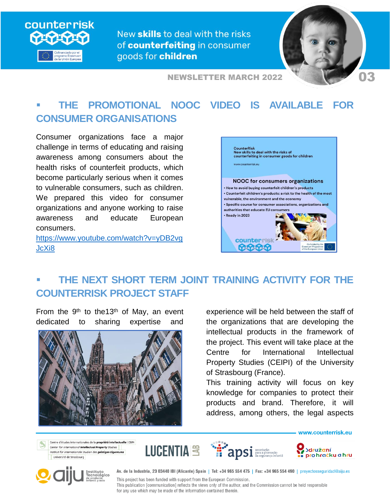

New skills to deal with the risks of counterfeiting in consumer goods for children



**NEWSLETTER MARCH 2022** 

## **THE PROMOTIONAL NOOC VIDEO IS AVAILABLE FOR CONSUMER ORGANISATIONS**

Consumer organizations face a major challenge in terms of educating and raising awareness among consumers about the health risks of counterfeit products, which become particularly serious when it comes to vulnerable consumers, such as children. We prepared this video for consumer organizations and anyone working to raise awareness and educate European consumers.

[https://www.youtube.com/watch?v=yDB2vg](https://www.youtube.com/watch?v=yDB2vgJcXi8) [JcXi8](https://www.youtube.com/watch?v=yDB2vgJcXi8) 



## **THE NEXT SHORT TERM JOINT TRAINING ACTIVITY FOR THE COUNTERRISK PROJECT STAFF**

From the  $9<sup>th</sup>$  to the 13<sup>th</sup> of May, an event dedicated to sharing expertise and



experience will be held between the staff of the organizations that are developing the intellectual products in the framework of the project. This event will take place at the Centre for International Intellectual Property Studies (CEIPI) of the University of Strasbourg (France).

This training activity will focus on key knowledge for companies to protect their products and brand. Therefore, it will address, among others, the legal aspects

Centre d'études internationales de la propriété intellectuelle | CEIPI Center for International Intellectual Property Studies Institut für internationale Studien des geistigen Eigentums Université de Strasbourg







www.counterrisk.eu



Av. de la Industria, 23 03440 IBI (Alicante) Spain | Tel: +34 965 554 475 | Fax: +34 965 554 490 | proyectosseguridad@aiju.es

This project has been funded with support from the European Commission. This publication [communication] reflects the views only of the author, and the Commission cannot be held responsible for any use which may be made of the information contained therein.